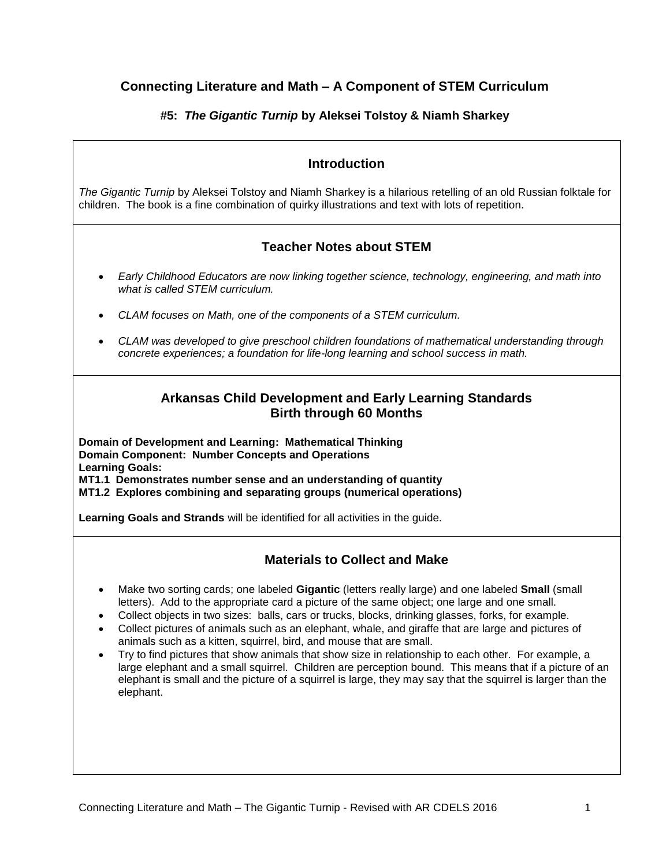# **Connecting Literature and Math – A Component of STEM Curriculum**

## **#5:** *The Gigantic Turnip* **by Aleksei Tolstoy & Niamh Sharkey**

| The Gigantic Turnip by Aleksei Tolstoy and Niamh Sharkey is a hilarious retelling of an old Russian folktale for<br>children. The book is a fine combination of quirky illustrations and text with lots of repetition.<br><b>Teacher Notes about STEM</b><br>Early Childhood Educators are now linking together science, technology, engineering, and math into<br>$\bullet$<br>what is called STEM curriculum.<br>CLAM focuses on Math, one of the components of a STEM curriculum.<br>CLAM was developed to give preschool children foundations of mathematical understanding through<br>$\bullet$<br>concrete experiences; a foundation for life-long learning and school success in math.<br><b>Arkansas Child Development and Early Learning Standards</b><br><b>Birth through 60 Months</b><br>Domain of Development and Learning: Mathematical Thinking<br><b>Domain Component: Number Concepts and Operations</b><br><b>Materials to Collect and Make</b><br>Make two sorting cards; one labeled Gigantic (letters really large) and one labeled Small (small<br>$\bullet$<br>letters). Add to the appropriate card a picture of the same object; one large and one small.<br>Collect objects in two sizes: balls, cars or trucks, blocks, drinking glasses, forks, for example. |
|------------------------------------------------------------------------------------------------------------------------------------------------------------------------------------------------------------------------------------------------------------------------------------------------------------------------------------------------------------------------------------------------------------------------------------------------------------------------------------------------------------------------------------------------------------------------------------------------------------------------------------------------------------------------------------------------------------------------------------------------------------------------------------------------------------------------------------------------------------------------------------------------------------------------------------------------------------------------------------------------------------------------------------------------------------------------------------------------------------------------------------------------------------------------------------------------------------------------------------------------------------------------------------------|
|                                                                                                                                                                                                                                                                                                                                                                                                                                                                                                                                                                                                                                                                                                                                                                                                                                                                                                                                                                                                                                                                                                                                                                                                                                                                                          |
|                                                                                                                                                                                                                                                                                                                                                                                                                                                                                                                                                                                                                                                                                                                                                                                                                                                                                                                                                                                                                                                                                                                                                                                                                                                                                          |
|                                                                                                                                                                                                                                                                                                                                                                                                                                                                                                                                                                                                                                                                                                                                                                                                                                                                                                                                                                                                                                                                                                                                                                                                                                                                                          |
|                                                                                                                                                                                                                                                                                                                                                                                                                                                                                                                                                                                                                                                                                                                                                                                                                                                                                                                                                                                                                                                                                                                                                                                                                                                                                          |
| <b>Learning Goals:</b><br>MT1.1 Demonstrates number sense and an understanding of quantity<br>MT1.2 Explores combining and separating groups (numerical operations)<br>Learning Goals and Strands will be identified for all activities in the guide.                                                                                                                                                                                                                                                                                                                                                                                                                                                                                                                                                                                                                                                                                                                                                                                                                                                                                                                                                                                                                                    |
|                                                                                                                                                                                                                                                                                                                                                                                                                                                                                                                                                                                                                                                                                                                                                                                                                                                                                                                                                                                                                                                                                                                                                                                                                                                                                          |
|                                                                                                                                                                                                                                                                                                                                                                                                                                                                                                                                                                                                                                                                                                                                                                                                                                                                                                                                                                                                                                                                                                                                                                                                                                                                                          |
|                                                                                                                                                                                                                                                                                                                                                                                                                                                                                                                                                                                                                                                                                                                                                                                                                                                                                                                                                                                                                                                                                                                                                                                                                                                                                          |
| Collect pictures of animals such as an elephant, whale, and giraffe that are large and pictures of<br>animals such as a kitten, squirrel, bird, and mouse that are small.<br>Try to find pictures that show animals that show size in relationship to each other. For example, a<br>large elephant and a small squirrel. Children are perception bound. This means that if a picture of an<br>elephant is small and the picture of a squirrel is large, they may say that the squirrel is larger than the<br>elephant.                                                                                                                                                                                                                                                                                                                                                                                                                                                                                                                                                                                                                                                                                                                                                                   |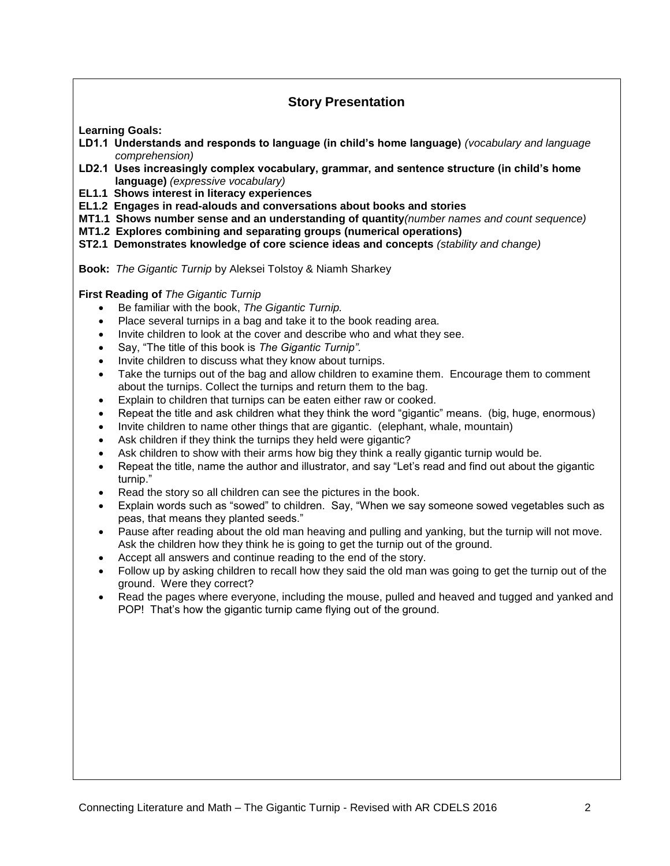## **Story Presentation**

**Learning Goals:**

- **LD1.1 Understands and responds to language (in child's home language)** *(vocabulary and language comprehension)*
- **LD2.1 Uses increasingly complex vocabulary, grammar, and sentence structure (in child's home language)** *(expressive vocabulary)*
- **EL1.1 Shows interest in literacy experiences**
- **EL1.2 Engages in read-alouds and conversations about books and stories**
- **MT1.1 Shows number sense and an understanding of quantity***(number names and count sequence)*
- **MT1.2 Explores combining and separating groups (numerical operations)**
- **ST2.1 Demonstrates knowledge of core science ideas and concepts** *(stability and change)*

**Book:** *The Gigantic Turnip* by Aleksei Tolstoy & Niamh Sharkey

**First Reading of** *The Gigantic Turnip* 

- Be familiar with the book, *The Gigantic Turnip.*
- Place several turnips in a bag and take it to the book reading area.
- Invite children to look at the cover and describe who and what they see.
- Say, "The title of this book is *The Gigantic Turnip".*
- Invite children to discuss what they know about turnips.
- Take the turnips out of the bag and allow children to examine them. Encourage them to comment about the turnips. Collect the turnips and return them to the bag.
- Explain to children that turnips can be eaten either raw or cooked.
- Repeat the title and ask children what they think the word "gigantic" means. (big, huge, enormous)
- Invite children to name other things that are gigantic. (elephant, whale, mountain)
- Ask children if they think the turnips they held were gigantic?
- Ask children to show with their arms how big they think a really gigantic turnip would be.
- Repeat the title, name the author and illustrator, and say "Let's read and find out about the gigantic turnip."
- Read the story so all children can see the pictures in the book.
- Explain words such as "sowed" to children. Say, "When we say someone sowed vegetables such as peas, that means they planted seeds."
- Pause after reading about the old man heaving and pulling and yanking, but the turnip will not move. Ask the children how they think he is going to get the turnip out of the ground.
- Accept all answers and continue reading to the end of the story.
- Follow up by asking children to recall how they said the old man was going to get the turnip out of the ground. Were they correct?
- Read the pages where everyone, including the mouse, pulled and heaved and tugged and yanked and POP! That's how the gigantic turnip came flying out of the ground.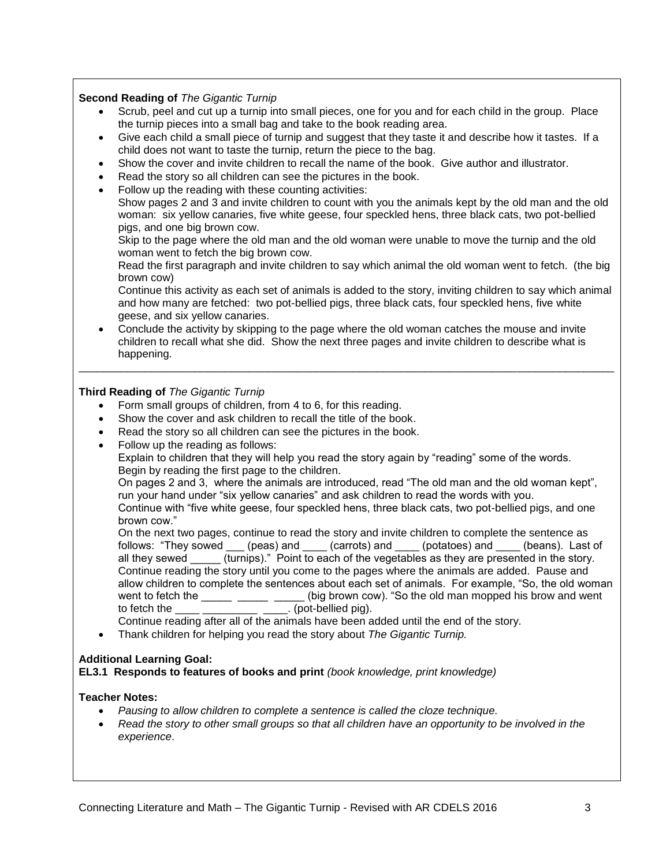#### **Second Reading of** *The Gigantic Turnip*

- Scrub, peel and cut up a turnip into small pieces, one for you and for each child in the group. Place the turnip pieces into a small bag and take to the book reading area.
- Give each child a small piece of turnip and suggest that they taste it and describe how it tastes. If a child does not want to taste the turnip, return the piece to the bag.
- Show the cover and invite children to recall the name of the book. Give author and illustrator.
- Read the story so all children can see the pictures in the book.
- Follow up the reading with these counting activities:

Show pages 2 and 3 and invite children to count with you the animals kept by the old man and the old woman: six yellow canaries, five white geese, four speckled hens, three black cats, two pot-bellied pigs, and one big brown cow.

Skip to the page where the old man and the old woman were unable to move the turnip and the old woman went to fetch the big brown cow.

Read the first paragraph and invite children to say which animal the old woman went to fetch. (the big brown cow)

Continue this activity as each set of animals is added to the story, inviting children to say which animal and how many are fetched: two pot-bellied pigs, three black cats, four speckled hens, five white geese, and six yellow canaries.

 Conclude the activity by skipping to the page where the old woman catches the mouse and invite children to recall what she did. Show the next three pages and invite children to describe what is happening.

\_\_\_\_\_\_\_\_\_\_\_\_\_\_\_\_\_\_\_\_\_\_\_\_\_\_\_\_\_\_\_\_\_\_\_\_\_\_\_\_\_\_\_\_\_\_\_\_\_\_\_\_\_\_\_\_\_\_\_\_\_\_\_\_\_\_\_\_\_\_\_\_\_\_\_\_\_\_\_\_\_\_\_\_\_\_\_\_

#### **Third Reading of** *The Gigantic Turnip*

- Form small groups of children, from 4 to 6, for this reading.
- Show the cover and ask children to recall the title of the book.
- Read the story so all children can see the pictures in the book.
- Follow up the reading as follows:

Explain to children that they will help you read the story again by "reading" some of the words. Begin by reading the first page to the children.

On pages 2 and 3, where the animals are introduced, read "The old man and the old woman kept", run your hand under "six yellow canaries" and ask children to read the words with you.

Continue with "five white geese, four speckled hens, three black cats, two pot-bellied pigs, and one brown cow."

On the next two pages, continue to read the story and invite children to complete the sentence as follows: "They sowed \_\_\_\_ (peas) and \_\_\_\_\_ (carrots) and \_\_\_\_\_ (potatoes) and \_\_\_\_\_ (beans). Last of all they sewed (turnips)." Point to each of the vegetables as they are presented in the story. Continue reading the story until you come to the pages where the animals are added. Pause and allow children to complete the sentences about each set of animals. For example, "So, the old woman went to fetch the (big brown cow). "So the old man mopped his brow and went (big brown cow). "So the old man mopped his brow and went to fetch the  $\frac{1}{\sqrt{1-\frac{1}{\sqrt{1-\frac{1}{\sqrt{1-\frac{1}{\sqrt{1-\frac{1}{\sqrt{1-\frac{1}{\sqrt{1-\frac{1}{\sqrt{1-\frac{1}{\sqrt{1-\frac{1}{\sqrt{1-\frac{1}{\sqrt{1-\frac{1}{\sqrt{1-\frac{1}{\sqrt{1-\frac{1}{\sqrt{1-\frac{1}{\sqrt{1-\frac{1}{\sqrt{1-\frac{1}{\sqrt{1-\frac{1}{\sqrt{1-\frac{1}{\sqrt{1-\frac{1}{\sqrt{1-\frac{1}{\sqrt{1-\frac{1}{\sqrt{1-\frac{1}{\sqrt{1-\frac{1}{\sqrt{1$ 

Continue reading after all of the animals have been added until the end of the story.

Thank children for helping you read the story about *The Gigantic Turnip.*

#### **Additional Learning Goal:**

**EL3.1 Responds to features of books and print** *(book knowledge, print knowledge)*

#### **Teacher Notes:**

- *Pausing to allow children to complete a sentence is called the cloze technique.*
- *Read the story to other small groups so that all children have an opportunity to be involved in the experience*.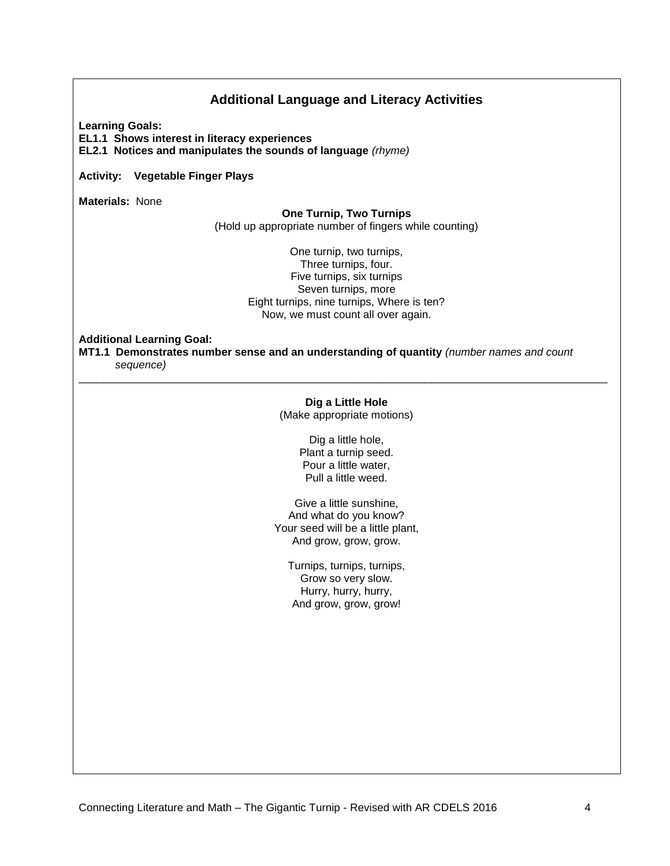## **Additional Language and Literacy Activities**

**Learning Goals:**

**EL1.1 Shows interest in literacy experiences EL2.1 Notices and manipulates the sounds of language** *(rhyme)*

**Activity: Vegetable Finger Plays**

**Materials:** None

#### **One Turnip, Two Turnips**

(Hold up appropriate number of fingers while counting)

One turnip, two turnips, Three turnips, four. Five turnips, six turnips Seven turnips, more Eight turnips, nine turnips, Where is ten? Now, we must count all over again.

**Additional Learning Goal:**

**MT1.1 Demonstrates number sense and an understanding of quantity** *(number names and count sequence)*

#### **Dig a Little Hole**

\_\_\_\_\_\_\_\_\_\_\_\_\_\_\_\_\_\_\_\_\_\_\_\_\_\_\_\_\_\_\_\_\_\_\_\_\_\_\_\_\_\_\_\_\_\_\_\_\_\_\_\_\_\_\_\_\_\_\_\_\_\_\_\_\_\_\_\_\_\_\_\_\_\_\_\_\_\_\_\_\_\_\_\_\_\_\_

(Make appropriate motions)

Dig a little hole, Plant a turnip seed. Pour a little water, Pull a little weed.

Give a little sunshine, And what do you know? Your seed will be a little plant, And grow, grow, grow.

Turnips, turnips, turnips, Grow so very slow. Hurry, hurry, hurry, And grow, grow, grow!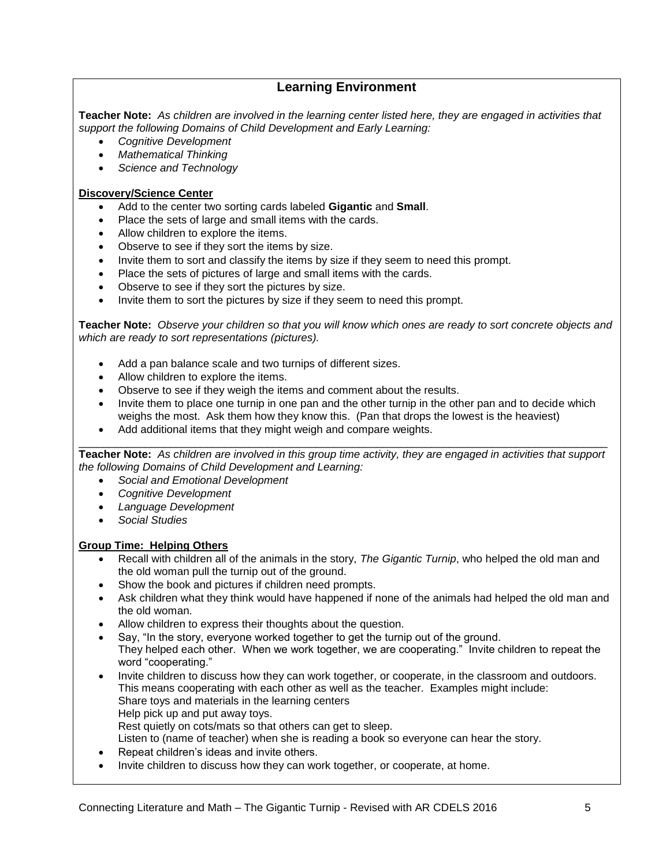## **Learning Environment**

**Teacher Note:** *As children are involved in the learning center listed here, they are engaged in activities that support the following Domains of Child Development and Early Learning:*

- *Cognitive Development*
- *Mathematical Thinking*
- *Science and Technology*

#### **Discovery/Science Center**

- Add to the center two sorting cards labeled **Gigantic** and **Small**.
- Place the sets of large and small items with the cards.
- Allow children to explore the items.
- Observe to see if they sort the items by size.
- Invite them to sort and classify the items by size if they seem to need this prompt.
- Place the sets of pictures of large and small items with the cards.
- Observe to see if they sort the pictures by size.
- Invite them to sort the pictures by size if they seem to need this prompt.

**Teacher Note:** *Observe your children so that you will know which ones are ready to sort concrete objects and which are ready to sort representations (pictures).*

- Add a pan balance scale and two turnips of different sizes.
- Allow children to explore the items.
- Observe to see if they weigh the items and comment about the results.
- Invite them to place one turnip in one pan and the other turnip in the other pan and to decide which weighs the most. Ask them how they know this. (Pan that drops the lowest is the heaviest)
- Add additional items that they might weigh and compare weights.

\_\_\_\_\_\_\_\_\_\_\_\_\_\_\_\_\_\_\_\_\_\_\_\_\_\_\_\_\_\_\_\_\_\_\_\_\_\_\_\_\_\_\_\_\_\_\_\_\_\_\_\_\_\_\_\_\_\_\_\_\_\_\_\_\_\_\_\_\_\_\_\_\_\_\_\_\_\_\_\_\_\_\_\_\_\_\_ **Teacher Note:** *As children are involved in this group time activity, they are engaged in activities that support the following Domains of Child Development and Learning:*

- *Social and Emotional Development*
- *Cognitive Development*
- *Language Development*
- *Social Studies*

#### **Group Time: Helping Others**

- Recall with children all of the animals in the story, *The Gigantic Turnip*, who helped the old man and the old woman pull the turnip out of the ground.
- Show the book and pictures if children need prompts.
- Ask children what they think would have happened if none of the animals had helped the old man and the old woman.
- Allow children to express their thoughts about the question.
- Say, "In the story, everyone worked together to get the turnip out of the ground. They helped each other. When we work together, we are cooperating." Invite children to repeat the word "cooperating."
- Invite children to discuss how they can work together, or cooperate, in the classroom and outdoors. This means cooperating with each other as well as the teacher. Examples might include: Share toys and materials in the learning centers Help pick up and put away toys. Rest quietly on cots/mats so that others can get to sleep. Listen to (name of teacher) when she is reading a book so everyone can hear the story.
- Repeat children's ideas and invite others.
- Invite children to discuss how they can work together, or cooperate, at home.